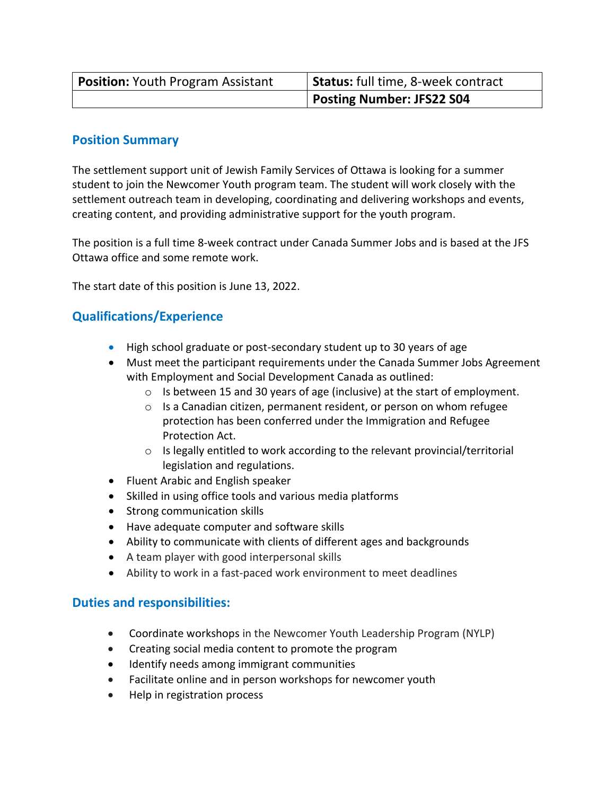| <b>Position: Youth Program Assistant</b> | Status: full time, 8-week contract |
|------------------------------------------|------------------------------------|
|                                          | <b>Posting Number: JFS22 S04</b>   |

## **Position Summary**

The settlement support unit of Jewish Family Services of Ottawa is looking for a summer student to join the Newcomer Youth program team. The student will work closely with the settlement outreach team in developing, coordinating and delivering workshops and events, creating content, and providing administrative support for the youth program.

The position is a full time 8-week contract under Canada Summer Jobs and is based at the JFS Ottawa office and some remote work.

The start date of this position is June 13, 2022.

## **Qualifications/Experience**

- High school graduate or post-secondary student up to 30 years of age
- Must meet the participant requirements under the Canada Summer Jobs Agreement with Employment and Social Development Canada as outlined:
	- o Is between 15 and 30 years of age (inclusive) at the start of employment.
	- o Is a Canadian citizen, permanent resident, or person on whom refugee protection has been conferred under the Immigration and Refugee Protection Act.
	- o Is legally entitled to work according to the relevant provincial/territorial legislation and regulations.
- Fluent Arabic and English speaker
- Skilled in using office tools and various media platforms
- Strong communication skills
- Have adequate computer and software skills
- Ability to communicate with clients of different ages and backgrounds
- A team player with good interpersonal skills
- Ability to work in a fast-paced work environment to meet deadlines

## **Duties and responsibilities:**

- Coordinate workshops in the Newcomer Youth Leadership Program (NYLP)
- Creating social media content to promote the program
- Identify needs among immigrant communities
- Facilitate online and in person workshops for newcomer youth
- Help in registration process